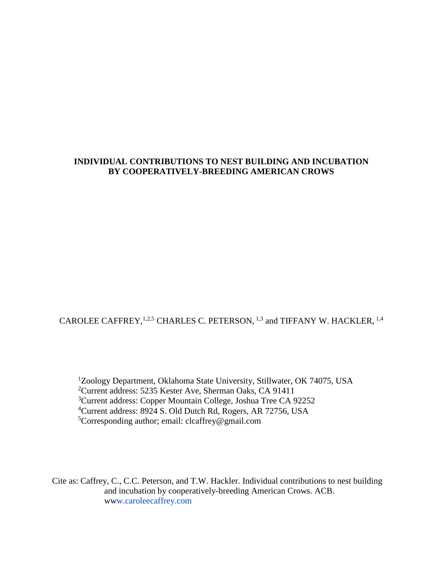## **INDIVIDUAL CONTRIBUTIONS TO NEST BUILDING AND INCUBATION BY COOPERATIVELY-BREEDING AMERICAN CROWS**

CAROLEE CAFFREY,  $1,2,5$  CHARLES C. PETERSON,  $1,3$  and TIFFANY W. HACKLER,  $1,4$ 

<sup>1</sup>Zoology Department, Oklahoma State University, Stillwater, OK 74075, USA Current address: 5235 Kester Ave, Sherman Oaks, CA 91411 Current address: Copper Mountain College, Joshua Tree CA 92252 Current address: 8924 S. Old Dutch Rd, Rogers, AR 72756, USA Corresponding author; email: c[lcaffrey@gmail.com](mailto:caffrey@gmail.com)

Cite as: Caffrey, C., C.C. Peterson, and T.W. Hackler. Individual contributions to nest building and incubation by cooperatively-breeding American Crows. ACB. www.caroleecaffrey.com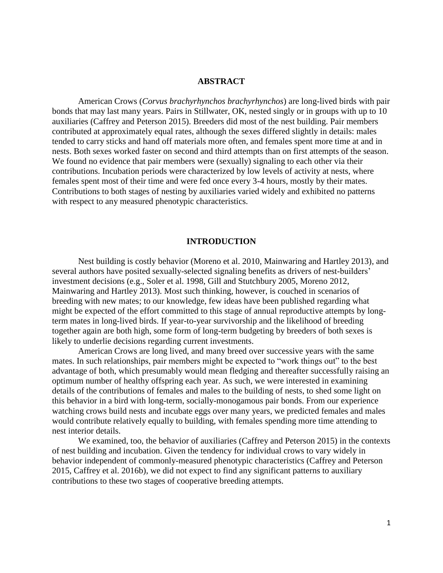### **ABSTRACT**

American Crows (*Corvus brachyrhynchos brachyrhynchos*) are long-lived birds with pair bonds that may last many years. Pairs in Stillwater, OK, nested singly or in groups with up to 10 auxiliaries (Caffrey and Peterson 2015). Breeders did most of the nest building. Pair members contributed at approximately equal rates, although the sexes differed slightly in details: males tended to carry sticks and hand off materials more often, and females spent more time at and in nests. Both sexes worked faster on second and third attempts than on first attempts of the season. We found no evidence that pair members were (sexually) signaling to each other via their contributions. Incubation periods were characterized by low levels of activity at nests, where females spent most of their time and were fed once every 3-4 hours, mostly by their mates. Contributions to both stages of nesting by auxiliaries varied widely and exhibited no patterns with respect to any measured phenotypic characteristics.

## **INTRODUCTION**

Nest building is costly behavior (Moreno et al. 2010, Mainwaring and Hartley 2013), and several authors have posited sexually-selected signaling benefits as drivers of nest-builders' investment decisions (e.g., Soler et al. 1998, Gill and Stutchbury 2005, Moreno 2012, Mainwaring and Hartley 2013). Most such thinking, however, is couched in scenarios of breeding with new mates; to our knowledge, few ideas have been published regarding what might be expected of the effort committed to this stage of annual reproductive attempts by longterm mates in long-lived birds. If year-to-year survivorship and the likelihood of breeding together again are both high, some form of long-term budgeting by breeders of both sexes is likely to underlie decisions regarding current investments.

American Crows are long lived, and many breed over successive years with the same mates. In such relationships, pair members might be expected to "work things out" to the best advantage of both, which presumably would mean fledging and thereafter successfully raising an optimum number of healthy offspring each year. As such, we were interested in examining details of the contributions of females and males to the building of nests, to shed some light on this behavior in a bird with long-term, socially-monogamous pair bonds. From our experience watching crows build nests and incubate eggs over many years, we predicted females and males would contribute relatively equally to building, with females spending more time attending to nest interior details.

We examined, too, the behavior of auxiliaries (Caffrey and Peterson 2015) in the contexts of nest building and incubation. Given the tendency for individual crows to vary widely in behavior independent of commonly-measured phenotypic characteristics (Caffrey and Peterson 2015, Caffrey et al. 2016b), we did not expect to find any significant patterns to auxiliary contributions to these two stages of cooperative breeding attempts.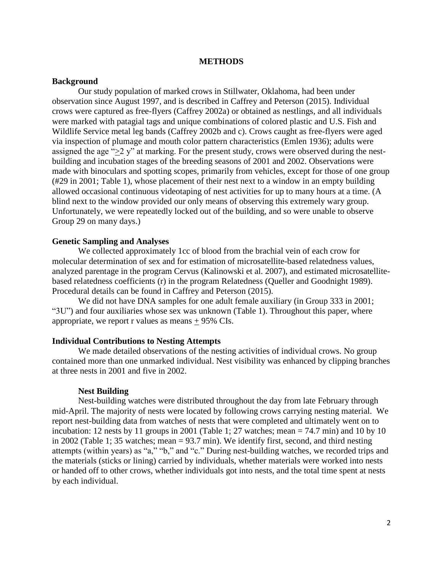## **METHODS**

#### **Background**

Our study population of marked crows in Stillwater, Oklahoma, had been under observation since August 1997, and is described in Caffrey and Peterson (2015). Individual crows were captured as free-flyers (Caffrey 2002a) or obtained as nestlings, and all individuals were marked with patagial tags and unique combinations of colored plastic and U.S. Fish and Wildlife Service metal leg bands (Caffrey 2002b and c). Crows caught as free-flyers were aged via inspection of plumage and mouth color pattern characteristics (Emlen 1936); adults were assigned the age " $\geq$  2 y" at marking. For the present study, crows were observed during the nestbuilding and incubation stages of the breeding seasons of 2001 and 2002. Observations were made with binoculars and spotting scopes, primarily from vehicles, except for those of one group (#29 in 2001; Table 1), whose placement of their nest next to a window in an empty building allowed occasional continuous videotaping of nest activities for up to many hours at a time. (A blind next to the window provided our only means of observing this extremely wary group. Unfortunately, we were repeatedly locked out of the building, and so were unable to observe Group 29 on many days.)

#### **Genetic Sampling and Analyses**

We collected approximately 1cc of blood from the brachial vein of each crow for molecular determination of sex and for estimation of microsatellite-based relatedness values, analyzed parentage in the program Cervus (Kalinowski et al. 2007), and estimated microsatellitebased relatedness coefficients (r) in the program Relatedness (Queller and Goodnight 1989). Procedural details can be found in Caffrey and Peterson (2015).

We did not have DNA samples for one adult female auxiliary (in Group 333 in 2001; "3U") and four auxiliaries whose sex was unknown (Table 1). Throughout this paper, where appropriate, we report r values as means + 95% CIs.

#### **Individual Contributions to Nesting Attempts**

We made detailed observations of the nesting activities of individual crows. No group contained more than one unmarked individual. Nest visibility was enhanced by clipping branches at three nests in 2001 and five in 2002.

#### **Nest Building**

Nest-building watches were distributed throughout the day from late February through mid-April. The majority of nests were located by following crows carrying nesting material. We report nest-building data from watches of nests that were completed and ultimately went on to incubation: 12 nests by 11 groups in 2001 (Table 1; 27 watches; mean  $= 74.7$  min) and 10 by 10 in 2002 (Table 1; 35 watches; mean = 93.7 min). We identify first, second, and third nesting attempts (within years) as "a," "b," and "c." During nest-building watches, we recorded trips and the materials (sticks or lining) carried by individuals, whether materials were worked into nests or handed off to other crows, whether individuals got into nests, and the total time spent at nests by each individual.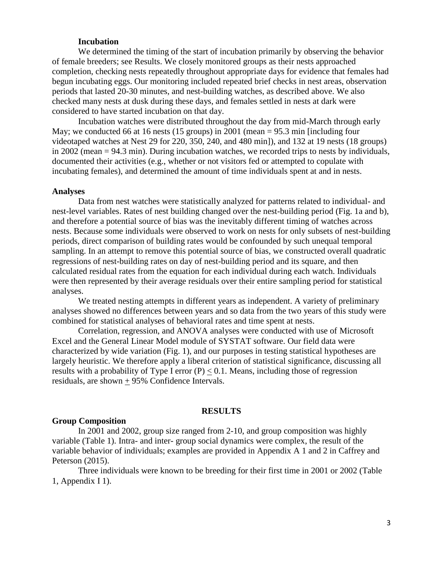## **Incubation**

We determined the timing of the start of incubation primarily by observing the behavior of female breeders; see Results. We closely monitored groups as their nests approached completion, checking nests repeatedly throughout appropriate days for evidence that females had begun incubating eggs. Our monitoring included repeated brief checks in nest areas, observation periods that lasted 20-30 minutes, and nest-building watches, as described above. We also checked many nests at dusk during these days, and females settled in nests at dark were considered to have started incubation on that day.

Incubation watches were distributed throughout the day from mid-March through early May; we conducted 66 at 16 nests (15 groups) in 2001 (mean = 95.3 min [including four videotaped watches at Nest 29 for 220, 350, 240, and 480 min]), and 132 at 19 nests (18 groups) in 2002 (mean = 94.3 min). During incubation watches, we recorded trips to nests by individuals, documented their activities (e.g., whether or not visitors fed or attempted to copulate with incubating females), and determined the amount of time individuals spent at and in nests.

### **Analyses**

Data from nest watches were statistically analyzed for patterns related to individual- and nest-level variables. Rates of nest building changed over the nest-building period (Fig. 1a and b), and therefore a potential source of bias was the inevitably different timing of watches across nests. Because some individuals were observed to work on nests for only subsets of nest-building periods, direct comparison of building rates would be confounded by such unequal temporal sampling. In an attempt to remove this potential source of bias, we constructed overall quadratic regressions of nest-building rates on day of nest-building period and its square, and then calculated residual rates from the equation for each individual during each watch. Individuals were then represented by their average residuals over their entire sampling period for statistical analyses.

We treated nesting attempts in different years as independent. A variety of preliminary analyses showed no differences between years and so data from the two years of this study were combined for statistical analyses of behavioral rates and time spent at nests.

Correlation, regression, and ANOVA analyses were conducted with use of Microsoft Excel and the General Linear Model module of SYSTAT software. Our field data were characterized by wide variation (Fig. 1), and our purposes in testing statistical hypotheses are largely heuristic. We therefore apply a liberal criterion of statistical significance, discussing all results with a probability of Type I error  $(P) < 0.1$ . Means, including those of regression residuals, are shown + 95% Confidence Intervals.

## **RESULTS**

## **Group Composition**

In 2001 and 2002, group size ranged from 2-10, and group composition was highly variable (Table 1). Intra- and inter- group social dynamics were complex, the result of the variable behavior of individuals; examples are provided in Appendix A 1 and 2 in Caffrey and Peterson (2015).

Three individuals were known to be breeding for their first time in 2001 or 2002 (Table 1, Appendix I 1).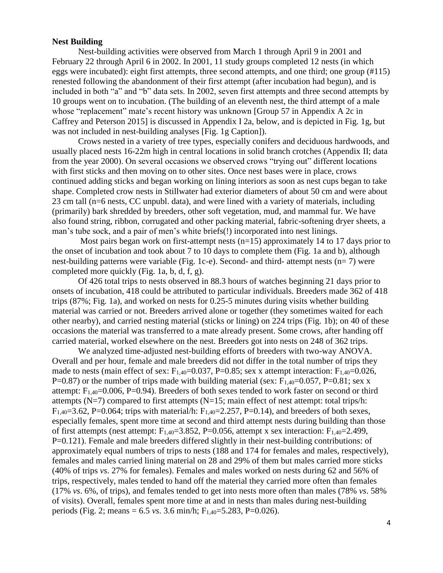## **Nest Building**

Nest-building activities were observed from March 1 through April 9 in 2001 and February 22 through April 6 in 2002. In 2001, 11 study groups completed 12 nests (in which eggs were incubated): eight first attempts, three second attempts, and one third; one group (#115) renested following the abandonment of their first attempt (after incubation had begun), and is included in both "a" and "b" data sets. In 2002, seven first attempts and three second attempts by 10 groups went on to incubation. (The building of an eleventh nest, the third attempt of a male whose "replacement" mate's recent history was unknown [Group 57 in Appendix A 2c in Caffrey and Peterson 2015] is discussed in Appendix I 2a, below, and is depicted in Fig. 1g, but was not included in nest-building analyses [Fig. 1g Caption]).

Crows nested in a variety of tree types, especially conifers and deciduous hardwoods, and usually placed nests 16-22m high in central locations in solid branch crotches (Appendix II; data from the year 2000). On several occasions we observed crows "trying out" different locations with first sticks and then moving on to other sites. Once nest bases were in place, crows continued adding sticks and began working on lining interiors as soon as nest cups began to take shape. Completed crow nests in Stillwater had exterior diameters of about 50 cm and were about 23 cm tall (n=6 nests, CC unpubl. data), and were lined with a variety of materials, including (primarily) bark shredded by breeders, other soft vegetation, mud, and mammal fur. We have also found string, ribbon, corrugated and other packing material, fabric-softening dryer sheets, a man's tube sock, and a pair of men's white briefs(!) incorporated into nest linings.

Most pairs began work on first-attempt nests  $(n=15)$  approximately 14 to 17 days prior to the onset of incubation and took about 7 to 10 days to complete them (Fig. 1a and b), although nest-building patterns were variable (Fig. 1c-e). Second- and third- attempt nests (n= 7) were completed more quickly (Fig. 1a, b, d, f, g).

Of 426 total trips to nests observed in 88.3 hours of watches beginning 21 days prior to onsets of incubation, 418 could be attributed to particular individuals. Breeders made 362 of 418 trips (87%; Fig. 1a), and worked on nests for 0.25-5 minutes during visits whether building material was carried or not. Breeders arrived alone or together (they sometimes waited for each other nearby), and carried nesting material (sticks or lining) on 224 trips (Fig. 1b); on 40 of these occasions the material was transferred to a mate already present. Some crows, after handing off carried material, worked elsewhere on the nest. Breeders got into nests on 248 of 362 trips.

We analyzed time-adjusted nest-building efforts of breeders with two-way ANOVA. Overall and per hour, female and male breeders did not differ in the total number of trips they made to nests (main effect of sex:  $F_{1,40}=0.037$ , P=0.85; sex x attempt interaction:  $F_{1,40}=0.026$ , P=0.87) or the number of trips made with building material (sex:  $F_{1,40}$ =0.057, P=0.81; sex x attempt:  $F_{1,40}=0.006$ , P=0.94). Breeders of both sexes tended to work faster on second or third attempts ( $N=7$ ) compared to first attempts ( $N=15$ ; main effect of nest attempt: total trips/h:  $F_{1,40}=3.62$ , P=0.064; trips with material/h:  $F_{1,40}=2.257$ , P=0.14), and breeders of both sexes, especially females, spent more time at second and third attempt nests during building than those of first attempts (nest attempt:  $F_{1,40}=3.852$ , P=0.056, attempt x sex interaction:  $F_{1,40}=2.499$ , P=0.121). Female and male breeders differed slightly in their nest-building contributions: of approximately equal numbers of trips to nests (188 and 174 for females and males, respectively), females and males carried lining material on 28 and 29% of them but males carried more sticks (40% of trips *vs*. 27% for females). Females and males worked on nests during 62 and 56% of trips, respectively, males tended to hand off the material they carried more often than females (17% *vs*. 6%, of trips), and females tended to get into nests more often than males (78% *vs*. 58% of visits). Overall, females spent more time at and in nests than males during nest-building periods (Fig. 2; means =  $6.5$  *vs.* 3.6 min/h; F<sub>1,40</sub>=5.283, P=0.026).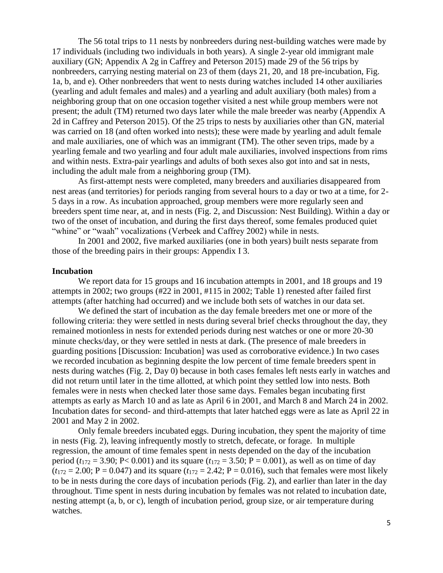The 56 total trips to 11 nests by nonbreeders during nest-building watches were made by 17 individuals (including two individuals in both years). A single 2-year old immigrant male auxiliary (GN; Appendix A 2g in Caffrey and Peterson 2015) made 29 of the 56 trips by nonbreeders, carrying nesting material on 23 of them (days 21, 20, and 18 pre-incubation, Fig. 1a, b, and e). Other nonbreeders that went to nests during watches included 14 other auxiliaries (yearling and adult females and males) and a yearling and adult auxiliary (both males) from a neighboring group that on one occasion together visited a nest while group members were not present; the adult (TM) returned two days later while the male breeder was nearby (Appendix A 2d in Caffrey and Peterson 2015). Of the 25 trips to nests by auxiliaries other than GN, material was carried on 18 (and often worked into nests); these were made by yearling and adult female and male auxiliaries, one of which was an immigrant (TM). The other seven trips, made by a yearling female and two yearling and four adult male auxiliaries, involved inspections from rims and within nests. Extra-pair yearlings and adults of both sexes also got into and sat in nests, including the adult male from a neighboring group (TM).

As first-attempt nests were completed, many breeders and auxiliaries disappeared from nest areas (and territories) for periods ranging from several hours to a day or two at a time, for 2- 5 days in a row. As incubation approached, group members were more regularly seen and breeders spent time near, at, and in nests (Fig. 2, and Discussion: Nest Building). Within a day or two of the onset of incubation, and during the first days thereof, some females produced quiet "whine" or "waah" vocalizations (Verbeek and Caffrey 2002) while in nests.

In 2001 and 2002, five marked auxiliaries (one in both years) built nests separate from those of the breeding pairs in their groups: Appendix I 3.

#### **Incubation**

We report data for 15 groups and 16 incubation attempts in 2001, and 18 groups and 19 attempts in 2002; two groups (#22 in 2001, #115 in 2002; Table 1) renested after failed first attempts (after hatching had occurred) and we include both sets of watches in our data set.

We defined the start of incubation as the day female breeders met one or more of the following criteria: they were settled in nests during several brief checks throughout the day, they remained motionless in nests for extended periods during nest watches or one or more 20-30 minute checks/day, or they were settled in nests at dark. (The presence of male breeders in guarding positions [Discussion: Incubation] was used as corroborative evidence.) In two cases we recorded incubation as beginning despite the low percent of time female breeders spent in nests during watches (Fig. 2, Day 0) because in both cases females left nests early in watches and did not return until later in the time allotted, at which point they settled low into nests. Both females were in nests when checked later those same days. Females began incubating first attempts as early as March 10 and as late as April 6 in 2001, and March 8 and March 24 in 2002. Incubation dates for second- and third-attempts that later hatched eggs were as late as April 22 in 2001 and May 2 in 2002.

Only female breeders incubated eggs. During incubation, they spent the majority of time in nests (Fig. 2), leaving infrequently mostly to stretch, defecate, or forage. In multiple regression, the amount of time females spent in nests depended on the day of the incubation period ( $t_{172} = 3.90$ ; P< 0.001) and its square ( $t_{172} = 3.50$ ; P = 0.001), as well as on time of day  $(t_{172} = 2.00; P = 0.047)$  and its square  $(t_{172} = 2.42; P = 0.016)$ , such that females were most likely to be in nests during the core days of incubation periods (Fig. 2), and earlier than later in the day throughout. Time spent in nests during incubation by females was not related to incubation date, nesting attempt (a, b, or c), length of incubation period, group size, or air temperature during watches.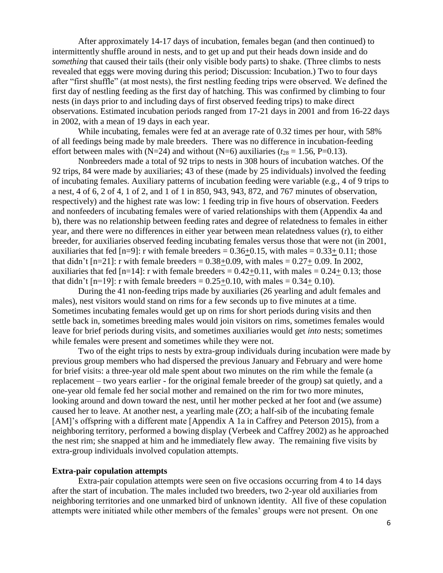After approximately 14-17 days of incubation, females began (and then continued) to intermittently shuffle around in nests, and to get up and put their heads down inside and do *something* that caused their tails (their only visible body parts) to shake. (Three climbs to nests revealed that eggs were moving during this period; Discussion: Incubation.) Two to four days after "first shuffle" (at most nests), the first nestling feeding trips were observed. We defined the first day of nestling feeding as the first day of hatching. This was confirmed by climbing to four nests (in days prior to and including days of first observed feeding trips) to make direct observations. Estimated incubation periods ranged from 17-21 days in 2001 and from 16-22 days in 2002, with a mean of 19 days in each year.

While incubating, females were fed at an average rate of 0.32 times per hour, with 58% of all feedings being made by male breeders. There was no difference in incubation-feeding effort between males with  $(N=24)$  and without  $(N=6)$  auxiliaries ( $t_{28} = 1.56$ , P=0.13).

Nonbreeders made a total of 92 trips to nests in 308 hours of incubation watches. Of the 92 trips, 84 were made by auxiliaries; 43 of these (made by 25 individuals) involved the feeding of incubating females. Auxiliary patterns of incubation feeding were variable (e.g., 4 of 9 trips to a nest, 4 of 6, 2 of 4, 1 of 2, and 1 of 1 in 850, 943, 943, 872, and 767 minutes of observation, respectively) and the highest rate was low: 1 feeding trip in five hours of observation. Feeders and nonfeeders of incubating females were of varied relationships with them (Appendix 4a and b), there was no relationship between feeding rates and degree of relatedness to females in either year, and there were no differences in either year between mean relatedness values (r), to either breeder, for auxiliaries observed feeding incubating females versus those that were not (in 2001, auxiliaries that fed  $[n=9]$ : r with female breeders = 0.36+0.15, with males = 0.33+ 0.11; those that didn't  $[n=21]$ : r with female breeders = 0.38+0.09, with males = 0.27+ 0.09. In 2002, auxiliaries that fed  $[n=14]$ : r with female breeders =  $0.42+0.11$ , with males =  $0.24+0.13$ ; those that didn't  $[n=19]$ : r with female breeders = 0.25+0.10, with males = 0.34+ 0.10).

During the 41 non-feeding trips made by auxiliaries (26 yearling and adult females and males), nest visitors would stand on rims for a few seconds up to five minutes at a time. Sometimes incubating females would get up on rims for short periods during visits and then settle back in, sometimes breeding males would join visitors on rims, sometimes females would leave for brief periods during visits, and sometimes auxiliaries would get *into* nests; sometimes while females were present and sometimes while they were not.

Two of the eight trips to nests by extra-group individuals during incubation were made by previous group members who had dispersed the previous January and February and were home for brief visits: a three-year old male spent about two minutes on the rim while the female (a replacement – two years earlier - for the original female breeder of the group) sat quietly, and a one-year old female fed her social mother and remained on the rim for two more minutes, looking around and down toward the nest, until her mother pecked at her foot and (we assume) caused her to leave. At another nest, a yearling male (ZO; a half-sib of the incubating female [AM]'s offspring with a different mate [Appendix A 1a in Caffrey and Peterson 2015), from a neighboring territory, performed a bowing display (Verbeek and Caffrey 2002) as he approached the nest rim; she snapped at him and he immediately flew away. The remaining five visits by extra-group individuals involved copulation attempts.

## **Extra-pair copulation attempts**

Extra-pair copulation attempts were seen on five occasions occurring from 4 to 14 days after the start of incubation. The males included two breeders, two 2-year old auxiliaries from neighboring territories and one unmarked bird of unknown identity. All five of these copulation attempts were initiated while other members of the females' groups were not present. On one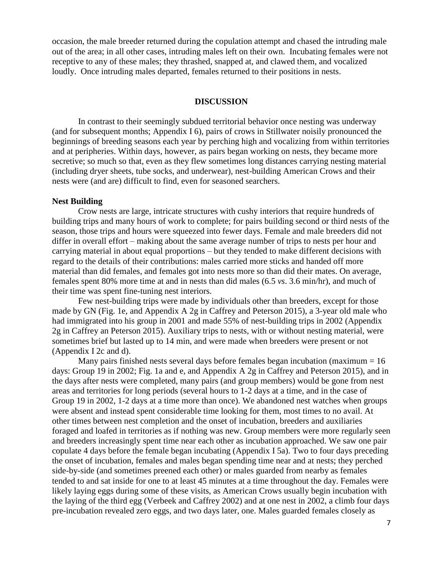occasion, the male breeder returned during the copulation attempt and chased the intruding male out of the area; in all other cases, intruding males left on their own. Incubating females were not receptive to any of these males; they thrashed, snapped at, and clawed them, and vocalized loudly. Once intruding males departed, females returned to their positions in nests.

#### **DISCUSSION**

In contrast to their seemingly subdued territorial behavior once nesting was underway (and for subsequent months; Appendix I 6), pairs of crows in Stillwater noisily pronounced the beginnings of breeding seasons each year by perching high and vocalizing from within territories and at peripheries. Within days, however, as pairs began working on nests, they became more secretive; so much so that, even as they flew sometimes long distances carrying nesting material (including dryer sheets, tube socks, and underwear), nest-building American Crows and their nests were (and are) difficult to find, even for seasoned searchers.

### **Nest Building**

Crow nests are large, intricate structures with cushy interiors that require hundreds of building trips and many hours of work to complete; for pairs building second or third nests of the season, those trips and hours were squeezed into fewer days. Female and male breeders did not differ in overall effort – making about the same average number of trips to nests per hour and carrying material in about equal proportions – but they tended to make different decisions with regard to the details of their contributions: males carried more sticks and handed off more material than did females, and females got into nests more so than did their mates. On average, females spent 80% more time at and in nests than did males (6.5 *vs*. 3.6 min/hr), and much of their time was spent fine-tuning nest interiors.

Few nest-building trips were made by individuals other than breeders, except for those made by GN (Fig. 1e, and Appendix A 2g in Caffrey and Peterson 2015), a 3-year old male who had immigrated into his group in 2001 and made 55% of nest-building trips in 2002 (Appendix 2g in Caffrey an Peterson 2015). Auxiliary trips to nests, with or without nesting material, were sometimes brief but lasted up to 14 min, and were made when breeders were present or not (Appendix I 2c and d).

Many pairs finished nests several days before females began incubation (maximum  $= 16$ ) days: Group 19 in 2002; Fig. 1a and e, and Appendix A 2g in Caffrey and Peterson 2015), and in the days after nests were completed, many pairs (and group members) would be gone from nest areas and territories for long periods (several hours to 1-2 days at a time, and in the case of Group 19 in 2002, 1-2 days at a time more than once). We abandoned nest watches when groups were absent and instead spent considerable time looking for them, most times to no avail. At other times between nest completion and the onset of incubation, breeders and auxiliaries foraged and loafed in territories as if nothing was new. Group members were more regularly seen and breeders increasingly spent time near each other as incubation approached. We saw one pair copulate 4 days before the female began incubating (Appendix I 5a). Two to four days preceding the onset of incubation, females and males began spending time near and at nests; they perched side-by-side (and sometimes preened each other) or males guarded from nearby as females tended to and sat inside for one to at least 45 minutes at a time throughout the day. Females were likely laying eggs during some of these visits, as American Crows usually begin incubation with the laying of the third egg (Verbeek and Caffrey 2002) and at one nest in 2002, a climb four days pre-incubation revealed zero eggs, and two days later, one. Males guarded females closely as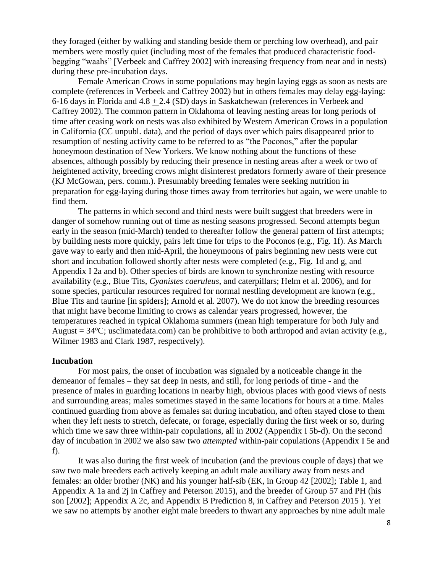they foraged (either by walking and standing beside them or perching low overhead), and pair members were mostly quiet (including most of the females that produced characteristic foodbegging "waahs" [Verbeek and Caffrey 2002] with increasing frequency from near and in nests) during these pre-incubation days.

Female American Crows in some populations may begin laying eggs as soon as nests are complete (references in Verbeek and Caffrey 2002) but in others females may delay egg-laying: 6-16 days in Florida and 4.8 + 2.4 (SD) days in Saskatchewan (references in Verbeek and Caffrey 2002). The common pattern in Oklahoma of leaving nesting areas for long periods of time after ceasing work on nests was also exhibited by Western American Crows in a population in California (CC unpubl. data), and the period of days over which pairs disappeared prior to resumption of nesting activity came to be referred to as "the Poconos," after the popular honeymoon destination of New Yorkers. We know nothing about the functions of these absences, although possibly by reducing their presence in nesting areas after a week or two of heightened activity, breeding crows might disinterest predators formerly aware of their presence (KJ McGowan, pers. comm.). Presumably breeding females were seeking nutrition in preparation for egg-laying during those times away from territories but again, we were unable to find them.

The patterns in which second and third nests were built suggest that breeders were in danger of somehow running out of time as nesting seasons progressed. Second attempts begun early in the season (mid-March) tended to thereafter follow the general pattern of first attempts; by building nests more quickly, pairs left time for trips to the Poconos (e.g., Fig. 1f). As March gave way to early and then mid-April, the honeymoons of pairs beginning new nests were cut short and incubation followed shortly after nests were completed (e.g., Fig. 1d and g, and Appendix I 2a and b). Other species of birds are known to synchronize nesting with resource availability (e.g., Blue Tits, *Cyanistes caeruleus*, and caterpillars; Helm et al. 2006), and for some species, particular resources required for normal nestling development are known (e.g., Blue Tits and taurine [in spiders]; Arnold et al. 2007). We do not know the breeding resources that might have become limiting to crows as calendar years progressed, however, the temperatures reached in typical Oklahoma summers (mean high temperature for both July and August  $= 34^{\circ}\text{C}$ ; usclimatedata.com) can be prohibitive to both arthropod and avian activity (e.g., Wilmer 1983 and Clark 1987, respectively).

### **Incubation**

For most pairs, the onset of incubation was signaled by a noticeable change in the demeanor of females – they sat deep in nests, and still, for long periods of time - and the presence of males in guarding locations in nearby high, obvious places with good views of nests and surrounding areas; males sometimes stayed in the same locations for hours at a time. Males continued guarding from above as females sat during incubation, and often stayed close to them when they left nests to stretch, defecate, or forage, especially during the first week or so, during which time we saw three within-pair copulations, all in 2002 (Appendix I 5b-d). On the second day of incubation in 2002 we also saw two *attempted* within-pair copulations (Appendix I 5e and f).

It was also during the first week of incubation (and the previous couple of days) that we saw two male breeders each actively keeping an adult male auxiliary away from nests and females: an older brother (NK) and his younger half-sib (EK, in Group 42 [2002]; Table 1, and Appendix A 1a and 2j in Caffrey and Peterson 2015), and the breeder of Group 57 and PH (his son [2002]; Appendix A 2c, and Appendix B Prediction 8, in Caffrey and Peterson 2015 ). Yet we saw no attempts by another eight male breeders to thwart any approaches by nine adult male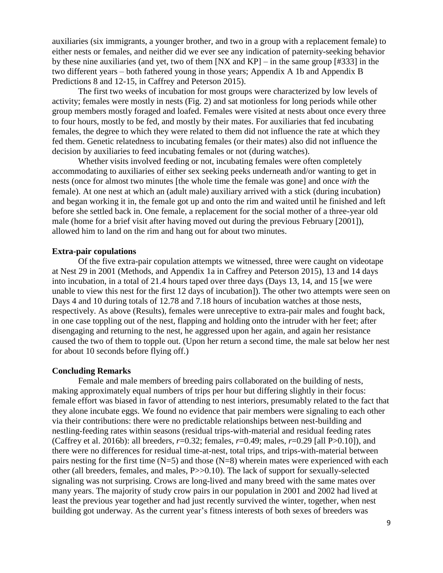auxiliaries (six immigrants, a younger brother, and two in a group with a replacement female) to either nests or females, and neither did we ever see any indication of paternity-seeking behavior by these nine auxiliaries (and yet, two of them [NX and KP] – in the same group [#333] in the two different years – both fathered young in those years; Appendix A 1b and Appendix B Predictions 8 and 12-15, in Caffrey and Peterson 2015).

The first two weeks of incubation for most groups were characterized by low levels of activity; females were mostly in nests (Fig. 2) and sat motionless for long periods while other group members mostly foraged and loafed. Females were visited at nests about once every three to four hours, mostly to be fed, and mostly by their mates. For auxiliaries that fed incubating females, the degree to which they were related to them did not influence the rate at which they fed them. Genetic relatedness to incubating females (or their mates) also did not influence the decision by auxiliaries to feed incubating females or not (during watches).

Whether visits involved feeding or not, incubating females were often completely accommodating to auxiliaries of either sex seeking peeks underneath and/or wanting to get in nests (once for almost two minutes [the whole time the female was gone] and once *with* the female). At one nest at which an (adult male) auxiliary arrived with a stick (during incubation) and began working it in, the female got up and onto the rim and waited until he finished and left before she settled back in. One female, a replacement for the social mother of a three-year old male (home for a brief visit after having moved out during the previous February [2001]), allowed him to land on the rim and hang out for about two minutes.

## **Extra-pair copulations**

Of the five extra-pair copulation attempts we witnessed, three were caught on videotape at Nest 29 in 2001 (Methods, and Appendix 1a in Caffrey and Peterson 2015), 13 and 14 days into incubation, in a total of 21.4 hours taped over three days (Days 13, 14, and 15 [we were unable to view this nest for the first 12 days of incubation]). The other two attempts were seen on Days 4 and 10 during totals of 12.78 and 7.18 hours of incubation watches at those nests, respectively. As above (Results), females were unreceptive to extra-pair males and fought back, in one case toppling out of the nest, flapping and holding onto the intruder with her feet; after disengaging and returning to the nest, he aggressed upon her again, and again her resistance caused the two of them to topple out. (Upon her return a second time, the male sat below her nest for about 10 seconds before flying off.)

#### **Concluding Remarks**

Female and male members of breeding pairs collaborated on the building of nests, making approximately equal numbers of trips per hour but differing slightly in their focus: female effort was biased in favor of attending to nest interiors, presumably related to the fact that they alone incubate eggs. We found no evidence that pair members were signaling to each other via their contributions: there were no predictable relationships between nest-building and nestling-feeding rates within seasons (residual trips-with-material and residual feeding rates (Caffrey et al. 2016b): all breeders, *r*=0.32; females, *r*=0.49; males, *r*=0.29 [all P>0.10]), and there were no differences for residual time-at-nest, total trips, and trips-with-material between pairs nesting for the first time  $(N=5)$  and those  $(N=8)$  wherein mates were experienced with each other (all breeders, females, and males, P>>0.10). The lack of support for sexually-selected signaling was not surprising. Crows are long-lived and many breed with the same mates over many years. The majority of study crow pairs in our population in 2001 and 2002 had lived at least the previous year together and had just recently survived the winter, together, when nest building got underway. As the current year's fitness interests of both sexes of breeders was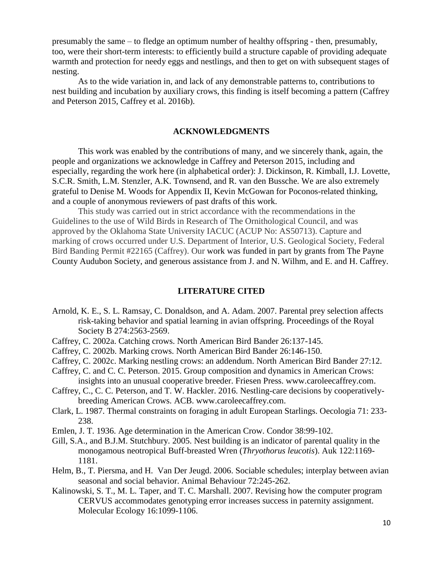presumably the same – to fledge an optimum number of healthy offspring - then, presumably, too, were their short-term interests: to efficiently build a structure capable of providing adequate warmth and protection for needy eggs and nestlings, and then to get on with subsequent stages of nesting.

As to the wide variation in, and lack of any demonstrable patterns to, contributions to nest building and incubation by auxiliary crows, this finding is itself becoming a pattern (Caffrey and Peterson 2015, Caffrey et al. 2016b).

## **ACKNOWLEDGMENTS**

This work was enabled by the contributions of many, and we sincerely thank, again, the people and organizations we acknowledge in Caffrey and Peterson 2015, including and especially, regarding the work here (in alphabetical order): J. Dickinson, R. Kimball, I.J. Lovette, S.C.R. Smith, L.M. Stenzler, A.K. Townsend, and R. van den Bussche. We are also extremely grateful to Denise M. Woods for Appendix II, Kevin McGowan for Poconos-related thinking, and a couple of anonymous reviewers of past drafts of this work.

This study was carried out in strict accordance with the recommendations in the Guidelines to the use of Wild Birds in Research of The Ornithological Council, and was approved by the Oklahoma State University IACUC (ACUP No: AS50713). Capture and marking of crows occurred under U.S. Department of Interior, U.S. Geological Society, Federal Bird Banding Permit #22165 (Caffrey). Our work was funded in part by grants from The Payne County Audubon Society, and generous assistance from J. and N. Wilhm, and E. and H. Caffrey.

## **LITERATURE CITED**

- Arnold, K. E., S. L. Ramsay, C. Donaldson, and A. Adam. 2007. Parental prey selection affects risk-taking behavior and spatial learning in avian offspring. Proceedings of the Royal Society B 274:2563-2569.
- Caffrey, C. 2002a. Catching crows. North American Bird Bander 26:137-145.
- Caffrey, C. 2002b. Marking crows. North American Bird Bander 26:146-150.
- Caffrey, C. 2002c. Marking nestling crows: an addendum. North American Bird Bander 27:12.
- Caffrey, C. and C. C. Peterson. 2015. Group composition and dynamics in American Crows: insights into an unusual cooperative breeder. Friesen Press. www.caroleecaffrey.com.
- Caffrey, C., C. C. Peterson, and T. W. Hackler. 2016. Nestling-care decisions by cooperativelybreeding American Crows. ACB. www.caroleecaffrey.com.
- Clark, L. 1987. Thermal constraints on foraging in adult European Starlings. Oecologia 71: 233- 238.
- Emlen, J. T. 1936. Age determination in the American Crow. Condor 38:99-102.
- Gill, S.A., and B.J.M. Stutchbury. 2005. Nest building is an indicator of parental quality in the monogamous neotropical Buff-breasted Wren (*Thryothorus leucotis*). Auk 122:1169- 1181.
- Helm, B., T. Piersma, and H. Van Der Jeugd. 2006. Sociable schedules; interplay between avian seasonal and social behavior. Animal Behaviour 72:245-262.
- Kalinowski, S. T., M. L. Taper, and T. C. Marshall. 2007. Revising how the computer program CERVUS accommodates genotyping error increases success in paternity assignment. Molecular Ecology 16:1099-1106.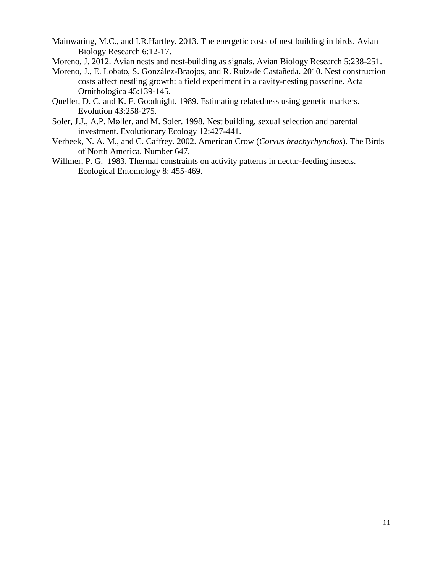Mainwaring, M.C., and I.R.Hartley. 2013. The energetic costs of nest building in birds. Avian Biology Research 6:12-17.

- Moreno, J. 2012. Avian nests and nest-building as signals. Avian Biology Research 5:238-251.
- Moreno, J., E. Lobato, S. González-Braojos, and R. Ruiz-de Castañeda. 2010. Nest construction costs affect nestling growth: a field experiment in a cavity-nesting passerine. Acta Ornithologica 45:139-145.
- Queller, D. C. and K. F. Goodnight. 1989. Estimating relatedness using genetic markers. Evolution 43:258-275.
- Soler, J.J., A.P. Møller, and M. Soler. 1998. Nest building, sexual selection and parental investment. Evolutionary Ecology 12:427-441.
- Verbeek, N. A. M., and C. Caffrey. 2002. American Crow (*Corvus brachyrhynchos*). The Birds of North America, Number 647.
- Willmer, P. G. 1983. Thermal constraints on activity patterns in nectar-feeding insects. Ecological Entomology 8: 455-469.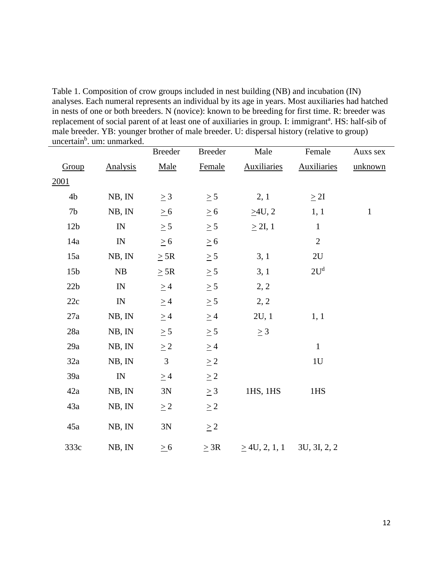Table 1. Composition of crow groups included in nest building (NB) and incubation (IN) analyses. Each numeral represents an individual by its age in years. Most auxiliaries had hatched in nests of one or both breeders. N (novice): known to be breeding for first time. R: breeder was replacement of social parent of at least one of auxiliaries in group. I: immigrant<sup>a</sup>. HS: half-sib of male breeder. YB: younger brother of male breeder. U: dispersal history (relative to group) uncertain<sup>b</sup>. um: unmarked.

| anceltani , uni. uninaricu. |                            |                |                |                                 |                    |              |
|-----------------------------|----------------------------|----------------|----------------|---------------------------------|--------------------|--------------|
|                             |                            | <b>Breeder</b> | <b>Breeder</b> | Male                            | Female             | Auxs sex     |
| Group                       | <b>Analysis</b>            | Male           | Female         | <b>Auxiliaries</b>              | <b>Auxiliaries</b> | unknown      |
| 2001                        |                            |                |                |                                 |                    |              |
| 4b                          | NB, IN                     | $\geq$ 3       | $\geq$ 5       | 2, 1                            | $\geq 2I$          |              |
| 7 <sub>b</sub>              | NB, IN                     | $\geq 6$       | $\geq 6$       | $\geq 4$ U, 2                   | 1, 1               | $\mathbf{1}$ |
| 12 <sub>b</sub>             | IN                         | $\geq$ 5       | $\geq 5$       | $\geq$ 2I, 1                    | $\mathbf{1}$       |              |
| 14a                         | $\mathop{\rm IN}\nolimits$ | $\geq 6$       | $\geq 6$       |                                 | $\overline{2}$     |              |
| 15a                         | NB, IN                     | $\geq$ 5R      | $\geq 5$       | 3, 1                            | 2U                 |              |
| 15 <sub>b</sub>             | ${\rm NB}$                 | $\geq$ 5R      | $\geq$ 5       | 3,1                             | 2U <sup>d</sup>    |              |
| 22b                         | IN                         | $\geq$ 4       | $\geq$ 5       | 2, 2                            |                    |              |
| 22c                         | $\ensuremath{\text{IN}}$   | $\geq 4$       | $\geq 5$       | 2, 2                            |                    |              |
| 27a                         | NB, IN                     | $\geq 4$       | $\geq 4$       | 2U, 1                           | 1, 1               |              |
| 28a                         | NB, IN                     | $\geq 5$       | $\geq 5$       | $\geq 3$                        |                    |              |
| 29a                         | NB, IN                     | $\geq 2$       | $\geq$ 4       |                                 | $\mathbf{1}$       |              |
| 32a                         | NB, IN                     | $\mathfrak{Z}$ | $\geq 2$       |                                 | 1U                 |              |
| 39a                         | IN                         | $\geq$ 4       | $\geq 2$       |                                 |                    |              |
| 42a                         | NB, IN                     | 3N             | $\geq 3$       | 1HS, 1HS                        | 1HS                |              |
| 43a                         | NB, IN                     | $\geq$ 2       | $\geq 2$       |                                 |                    |              |
| 45a                         | NB, IN                     | 3N             | $\geq$ 2       |                                 |                    |              |
| 333c                        | NB, IN                     | $\geq 6$       | $\geq$ 3R      | $\geq$ 4U, 2, 1, 1 3U, 3I, 2, 2 |                    |              |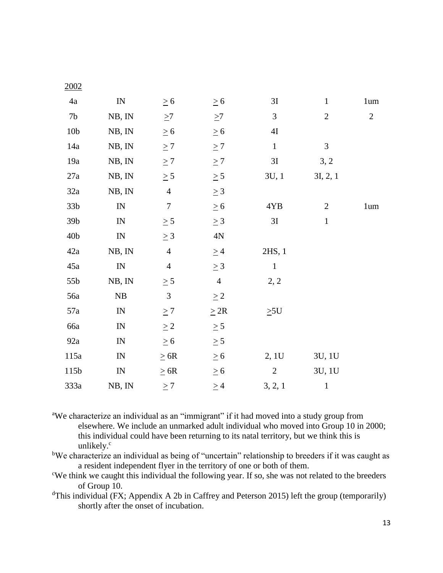| $\frac{200}{4}$  |                                 |                             |                |               |                |                |
|------------------|---------------------------------|-----------------------------|----------------|---------------|----------------|----------------|
| $4\mathrm{a}$    | ${\rm IN}$                      | $\geq 6$                    | $\geq 6$       | 3I            | $\mathbf 1$    | $1 \text{um}$  |
| 7 <sub>b</sub>   | NB, IN                          | $\geq7$                     | $\geq$ 7       | 3             | $\mathbf{2}$   | $\overline{2}$ |
| 10 <sub>b</sub>  | NB, IN                          | $\geq 6$                    | $\geq 6$       | $4\mathrm{I}$ |                |                |
| 14a              | NB, IN                          | $\geq 7$                    | $\geq 7$       | $\mathbf{1}$  | $\mathfrak{Z}$ |                |
| 19a              | NB, IN                          | $\geq 7$                    | $\geq 7$       | 3I            | 3, 2           |                |
| $27\mathrm{a}$   | NB, IN                          | $\geq 5$                    | $\geq 5$       | 3U, 1         | 3I, 2, 1       |                |
| 32a              | NB, IN                          | $\overline{4}$              | $\geq 3$       |               |                |                |
| 33 <sub>b</sub>  | $\mathbb{I}\mathcal{N}$         | $\boldsymbol{7}$            | $\geq 6$       | 4YB           | $\mathbf{2}$   | $1 \text{um}$  |
| 39 <sub>b</sub>  | $\mathbb{I}\mathcal{N}$         | $\geq 5$                    | $\geq 3$       | 3I            | $\mathbf{1}$   |                |
| 40 <sub>b</sub>  | $\ensuremath{\text{IN}}$        | $\geq 3$                    | 4N             |               |                |                |
| 42a              | NB, IN                          | $\overline{4}$              | $\geq 4$       | 2HS, 1        |                |                |
| 45a              | $\mathbb{I}\mathcal{N}$         | $\overline{4}$              | $\geq 3$       | $\,1\,$       |                |                |
| 55b              | NB, IN                          | $\geq 5$                    | $\overline{4}$ | 2, 2          |                |                |
| 56a              | ${\rm NB}$                      | $\ensuremath{\mathfrak{Z}}$ | $\geq 2$       |               |                |                |
| 57a              | $\mathbb{I}\mathcal{N}$         | $\geq 7$                    | $\geq 2R$      | $\geq 5$ U    |                |                |
| 66a              | $\ensuremath{\text{IN}}$        | $\geq$ 2                    | $\geq 5$       |               |                |                |
| 92a              | $\mathbb{I}\mathcal{N}$         | $\geq 6$                    | $\geq 5$       |               |                |                |
| 115a             | $\ensuremath{\text{IN}}\xspace$ | $\geq 6R$                   | $\geq 6$       | 2, 1U         | 3U, 1U         |                |
| 115 <sub>b</sub> | ${\rm IN}$                      | $\geq 6R$                   | $\geq 6$       | $\sqrt{2}$    | 3U, 1U         |                |
| 333a             | NB, IN                          | $\geq 7$                    | $\geq$ 4       | 3, 2, 1       | $\mathbf{1}$   |                |

2002

<sup>a</sup>We characterize an individual as an "immigrant" if it had moved into a study group from elsewhere. We include an unmarked adult individual who moved into Group 10 in 2000; this individual could have been returning to its natal territory, but we think this is unlikely. $\degree$ 

<sup>b</sup>We characterize an individual as being of "uncertain" relationship to breeders if it was caught as a resident independent flyer in the territory of one or both of them.

<sup>c</sup>We think we caught this individual the following year. If so, she was not related to the breeders of Group 10.

<sup>d</sup>This individual (FX; Appendix A 2b in Caffrey and Peterson 2015) left the group (temporarily) shortly after the onset of incubation.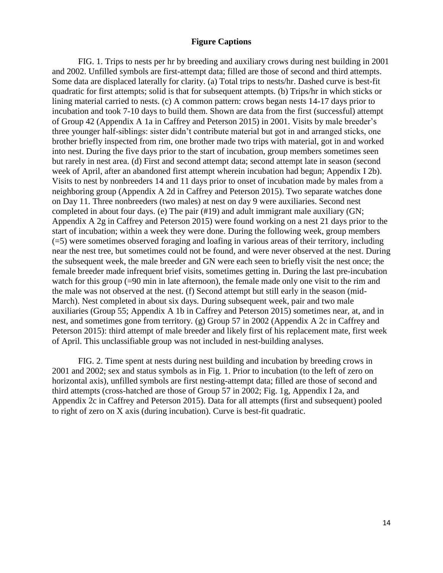## **Figure Captions**

FIG. 1. Trips to nests per hr by breeding and auxiliary crows during nest building in 2001 and 2002. Unfilled symbols are first-attempt data; filled are those of second and third attempts. Some data are displaced laterally for clarity. (a) Total trips to nests/hr. Dashed curve is best-fit quadratic for first attempts; solid is that for subsequent attempts. (b) Trips/hr in which sticks or lining material carried to nests. (c) A common pattern: crows began nests 14-17 days prior to incubation and took 7-10 days to build them. Shown are data from the first (successful) attempt of Group 42 (Appendix A 1a in Caffrey and Peterson 2015) in 2001. Visits by male breeder's three younger half-siblings: sister didn't contribute material but got in and arranged sticks, one brother briefly inspected from rim, one brother made two trips with material, got in and worked into nest. During the five days prior to the start of incubation, group members sometimes seen but rarely in nest area. (d) First and second attempt data; second attempt late in season (second week of April, after an abandoned first attempt wherein incubation had begun; Appendix I 2b). Visits to nest by nonbreeders 14 and 11 days prior to onset of incubation made by males from a neighboring group (Appendix A 2d in Caffrey and Peterson 2015). Two separate watches done on Day 11. Three nonbreeders (two males) at nest on day 9 were auxiliaries. Second nest completed in about four days. (e) The pair (#19) and adult immigrant male auxiliary (GN; Appendix A 2g in Caffrey and Peterson 2015) were found working on a nest 21 days prior to the start of incubation; within a week they were done. During the following week, group members (=5) were sometimes observed foraging and loafing in various areas of their territory, including near the nest tree, but sometimes could not be found, and were never observed at the nest. During the subsequent week, the male breeder and GN were each seen to briefly visit the nest once; the female breeder made infrequent brief visits, sometimes getting in. During the last pre-incubation watch for this group (=90 min in late afternoon), the female made only one visit to the rim and the male was not observed at the nest. (f) Second attempt but still early in the season (mid-March). Nest completed in about six days. During subsequent week, pair and two male auxiliaries (Group 55; Appendix A 1b in Caffrey and Peterson 2015) sometimes near, at, and in nest, and sometimes gone from territory. (g) Group 57 in 2002 (Appendix A 2c in Caffrey and Peterson 2015): third attempt of male breeder and likely first of his replacement mate, first week of April. This unclassifiable group was not included in nest-building analyses.

FIG. 2. Time spent at nests during nest building and incubation by breeding crows in 2001 and 2002; sex and status symbols as in Fig. 1. Prior to incubation (to the left of zero on horizontal axis), unfilled symbols are first nesting-attempt data; filled are those of second and third attempts (cross-hatched are those of Group 57 in 2002; Fig. 1g, Appendix I 2a, and Appendix 2c in Caffrey and Peterson 2015). Data for all attempts (first and subsequent) pooled to right of zero on X axis (during incubation). Curve is best-fit quadratic.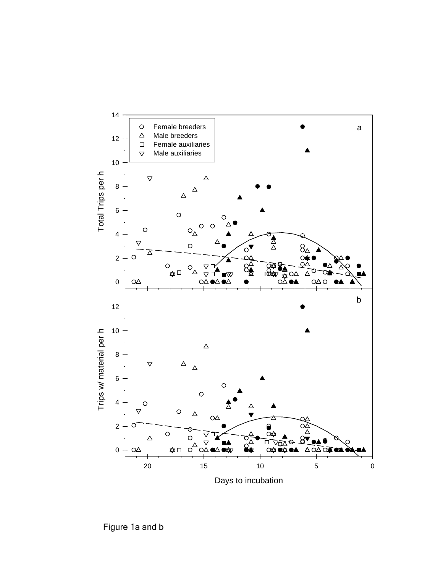

Figure 1a and b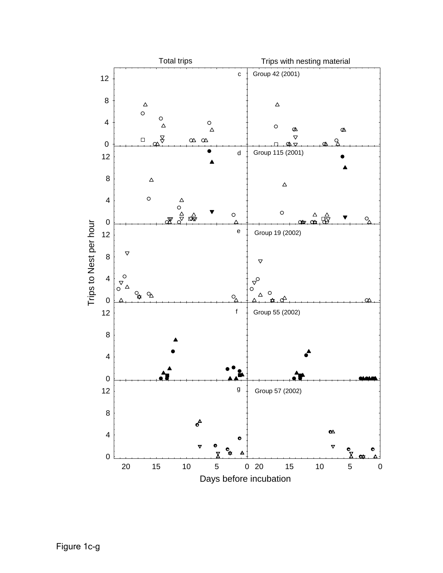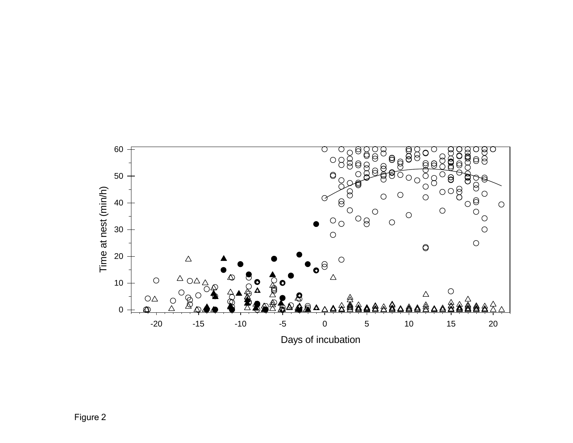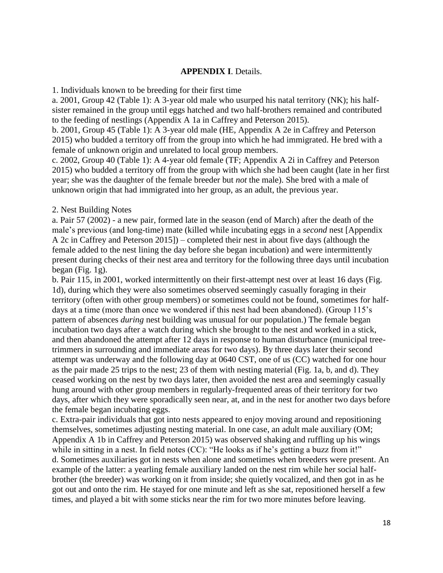## **APPENDIX I**. Details.

1. Individuals known to be breeding for their first time

a. 2001, Group 42 (Table 1): A 3-year old male who usurped his natal territory (NK); his halfsister remained in the group until eggs hatched and two half-brothers remained and contributed to the feeding of nestlings (Appendix A 1a in Caffrey and Peterson 2015).

b. 2001, Group 45 (Table 1): A 3-year old male (HE, Appendix A 2e in Caffrey and Peterson 2015) who budded a territory off from the group into which he had immigrated. He bred with a female of unknown origin and unrelated to local group members.

c. 2002, Group 40 (Table 1): A 4-year old female (TF; Appendix A 2i in Caffrey and Peterson 2015) who budded a territory off from the group with which she had been caught (late in her first year; she was the daughter of the female breeder but *not* the male). She bred with a male of unknown origin that had immigrated into her group, as an adult, the previous year.

## 2. Nest Building Notes

a. Pair 57 (2002) - a new pair, formed late in the season (end of March) after the death of the male's previous (and long-time) mate (killed while incubating eggs in a *second* nest [Appendix A 2c in Caffrey and Peterson 2015]) – completed their nest in about five days (although the female added to the nest lining the day before she began incubation) and were intermittently present during checks of their nest area and territory for the following three days until incubation began (Fig. 1g).

b. Pair 115, in 2001, worked intermittently on their first-attempt nest over at least 16 days (Fig. 1d), during which they were also sometimes observed seemingly casually foraging in their territory (often with other group members) or sometimes could not be found, sometimes for halfdays at a time (more than once we wondered if this nest had been abandoned). (Group 115's pattern of absences *during* nest building was unusual for our population.) The female began incubation two days after a watch during which she brought to the nest and worked in a stick, and then abandoned the attempt after 12 days in response to human disturbance (municipal treetrimmers in surrounding and immediate areas for two days). By three days later their second attempt was underway and the following day at 0640 CST, one of us (CC) watched for one hour as the pair made 25 trips to the nest; 23 of them with nesting material (Fig. 1a, b, and d). They ceased working on the nest by two days later, then avoided the nest area and seemingly casually hung around with other group members in regularly-frequented areas of their territory for two days, after which they were sporadically seen near, at, and in the nest for another two days before the female began incubating eggs.

c. Extra-pair individuals that got into nests appeared to enjoy moving around and repositioning themselves, sometimes adjusting nesting material. In one case, an adult male auxiliary (OM; Appendix A 1b in Caffrey and Peterson 2015) was observed shaking and ruffling up his wings while in sitting in a nest. In field notes (CC): "He looks as if he's getting a buzz from it!" d. Sometimes auxiliaries got in nests when alone and sometimes when breeders were present. An example of the latter: a yearling female auxiliary landed on the nest rim while her social halfbrother (the breeder) was working on it from inside; she quietly vocalized, and then got in as he got out and onto the rim. He stayed for one minute and left as she sat, repositioned herself a few times, and played a bit with some sticks near the rim for two more minutes before leaving.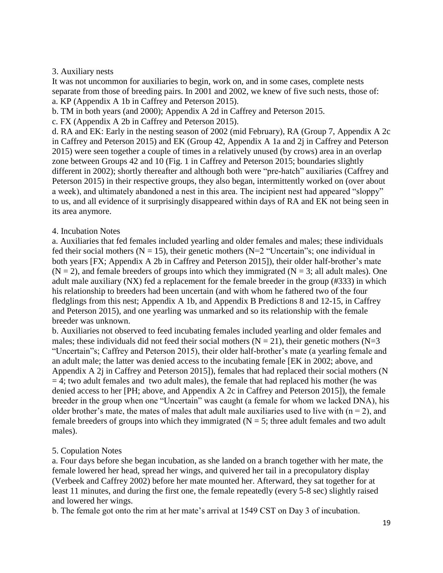## 3. Auxiliary nests

It was not uncommon for auxiliaries to begin, work on, and in some cases, complete nests separate from those of breeding pairs. In 2001 and 2002, we knew of five such nests, those of: a. KP (Appendix A 1b in Caffrey and Peterson 2015).

b. TM in both years (and 2000); Appendix A 2d in Caffrey and Peterson 2015.

c. FX (Appendix A 2b in Caffrey and Peterson 2015).

d. RA and EK: Early in the nesting season of 2002 (mid February), RA (Group 7, Appendix A 2c in Caffrey and Peterson 2015) and EK (Group 42, Appendix A 1a and 2j in Caffrey and Peterson 2015) were seen together a couple of times in a relatively unused (by crows) area in an overlap zone between Groups 42 and 10 (Fig. 1 in Caffrey and Peterson 2015; boundaries slightly different in 2002); shortly thereafter and although both were "pre-hatch" auxiliaries (Caffrey and Peterson 2015) in their respective groups, they also began, intermittently worked on (over about a week), and ultimately abandoned a nest in this area. The incipient nest had appeared "sloppy" to us, and all evidence of it surprisingly disappeared within days of RA and EK not being seen in its area anymore.

## 4. Incubation Notes

a. Auxiliaries that fed females included yearling and older females and males; these individuals fed their social mothers ( $N = 15$ ), their genetic mothers ( $N = 2$  "Uncertain"s; one individual in both years [FX; Appendix A 2b in Caffrey and Peterson 2015]), their older half-brother's mate  $(N = 2)$ , and female breeders of groups into which they immigrated  $(N = 3$ ; all adult males). One adult male auxiliary (NX) fed a replacement for the female breeder in the group (#333) in which his relationship to breeders had been uncertain (and with whom he fathered two of the four fledglings from this nest; Appendix A 1b, and Appendix B Predictions 8 and 12-15, in Caffrey and Peterson 2015), and one yearling was unmarked and so its relationship with the female breeder was unknown.

b. Auxiliaries not observed to feed incubating females included yearling and older females and males; these individuals did not feed their social mothers ( $N = 21$ ), their genetic mothers ( $N = 3$ ) "Uncertain"s; Caffrey and Peterson 2015), their older half-brother's mate (a yearling female and an adult male; the latter was denied access to the incubating female [EK in 2002; above, and Appendix A 2j in Caffrey and Peterson 2015]), females that had replaced their social mothers (N  $= 4$ ; two adult females and two adult males), the female that had replaced his mother (he was denied access to her [PH; above, and Appendix A 2c in Caffrey and Peterson 2015]), the female breeder in the group when one "Uncertain" was caught (a female for whom we lacked DNA), his older brother's mate, the mates of males that adult male auxiliaries used to live with  $(n = 2)$ , and female breeders of groups into which they immigrated ( $N = 5$ ; three adult females and two adult males).

# 5. Copulation Notes

a. Four days before she began incubation, as she landed on a branch together with her mate, the female lowered her head, spread her wings, and quivered her tail in a precopulatory display (Verbeek and Caffrey 2002) before her mate mounted her. Afterward, they sat together for at least 11 minutes, and during the first one, the female repeatedly (every 5-8 sec) slightly raised and lowered her wings.

b. The female got onto the rim at her mate's arrival at 1549 CST on Day 3 of incubation.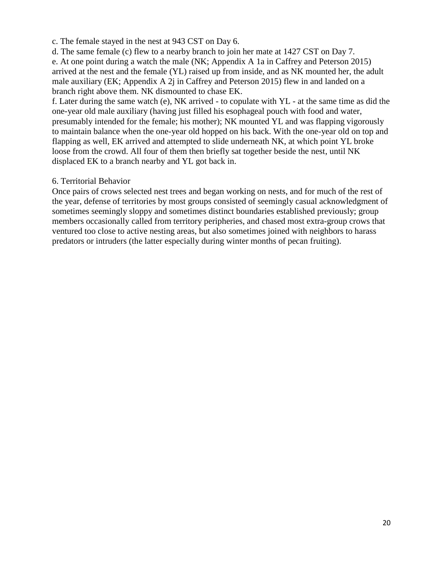c. The female stayed in the nest at 943 CST on Day 6.

d. The same female (c) flew to a nearby branch to join her mate at 1427 CST on Day 7. e. At one point during a watch the male (NK; Appendix A 1a in Caffrey and Peterson 2015) arrived at the nest and the female (YL) raised up from inside, and as NK mounted her, the adult male auxiliary (EK; Appendix A 2j in Caffrey and Peterson 2015) flew in and landed on a branch right above them. NK dismounted to chase EK.

f. Later during the same watch (e), NK arrived - to copulate with YL - at the same time as did the one-year old male auxiliary (having just filled his esophageal pouch with food and water, presumably intended for the female; his mother); NK mounted YL and was flapping vigorously to maintain balance when the one-year old hopped on his back. With the one-year old on top and flapping as well, EK arrived and attempted to slide underneath NK, at which point YL broke loose from the crowd. All four of them then briefly sat together beside the nest, until NK displaced EK to a branch nearby and YL got back in.

## 6. Territorial Behavior

Once pairs of crows selected nest trees and began working on nests, and for much of the rest of the year, defense of territories by most groups consisted of seemingly casual acknowledgment of sometimes seemingly sloppy and sometimes distinct boundaries established previously; group members occasionally called from territory peripheries, and chased most extra-group crows that ventured too close to active nesting areas, but also sometimes joined with neighbors to harass predators or intruders (the latter especially during winter months of pecan fruiting).